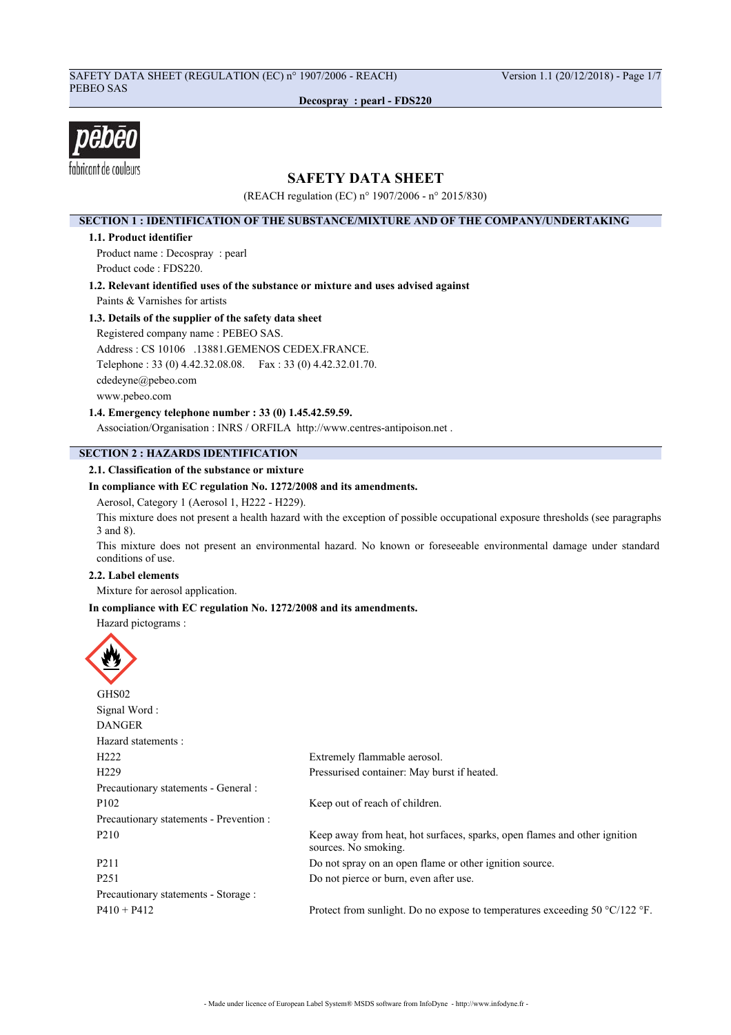# SAFETY DATA SHEET (REGULATION (EC) n° 1907/2006 - REACH) Version 1.1 (20/12/2018) - Page 1/7 PEBEO SAS

**Decospray : pearl - FDS220**



# **SAFETY DATA SHEET**

(REACH regulation (EC) n° 1907/2006 - n° 2015/830)

## **SECTION 1 : IDENTIFICATION OF THE SUBSTANCE/MIXTURE AND OF THE COMPANY/UNDERTAKING**

### **1.1. Product identifier**

Product name : Decospray : pearl Product code : FDS220.

**1.2. Relevant identified uses of the substance or mixture and uses advised against**

Paints & Varnishes for artists

# **1.3. Details of the supplier of the safety data sheet**

Registered company name : PEBEO SAS. Address : CS 10106 .13881.GEMENOS CEDEX.FRANCE. Telephone : 33 (0) 4.42.32.08.08. Fax : 33 (0) 4.42.32.01.70. cdedeyne@pebeo.com www.pebeo.com

**1.4. Emergency telephone number : 33 (0) 1.45.42.59.59.**

Association/Organisation : INRS / ORFILA http://www.centres-antipoison.net .

# **SECTION 2 : HAZARDS IDENTIFICATION**

## **2.1. Classification of the substance or mixture**

## **In compliance with EC regulation No. 1272/2008 and its amendments.**

Aerosol, Category 1 (Aerosol 1, H222 - H229).

This mixture does not present a health hazard with the exception of possible occupational exposure thresholds (see paragraphs 3 and 8).

This mixture does not present an environmental hazard. No known or foreseeable environmental damage under standard conditions of use.

# **2.2. Label elements**

Mixture for aerosol application.

## **In compliance with EC regulation No. 1272/2008 and its amendments.**

Hazard pictograms :

| GHS02                                   |                                                                                                   |
|-----------------------------------------|---------------------------------------------------------------------------------------------------|
| Signal Word:                            |                                                                                                   |
| <b>DANGER</b>                           |                                                                                                   |
| Hazard statements:                      |                                                                                                   |
| H <sub>222</sub>                        | Extremely flammable aerosol.                                                                      |
| H <sub>229</sub>                        | Pressurised container: May burst if heated.                                                       |
| Precautionary statements - General :    |                                                                                                   |
| P <sub>102</sub>                        | Keep out of reach of children.                                                                    |
| Precautionary statements - Prevention : |                                                                                                   |
| P <sub>210</sub>                        | Keep away from heat, hot surfaces, sparks, open flames and other ignition<br>sources. No smoking. |
| P <sub>2</sub> 11                       | Do not spray on an open flame or other ignition source.                                           |
| P <sub>251</sub>                        | Do not pierce or burn, even after use.                                                            |
| Precautionary statements - Storage :    |                                                                                                   |
| $P410 + P412$                           | Protect from sunlight. Do no expose to temperatures exceeding 50 $\degree$ C/122 $\degree$ F.     |
|                                         |                                                                                                   |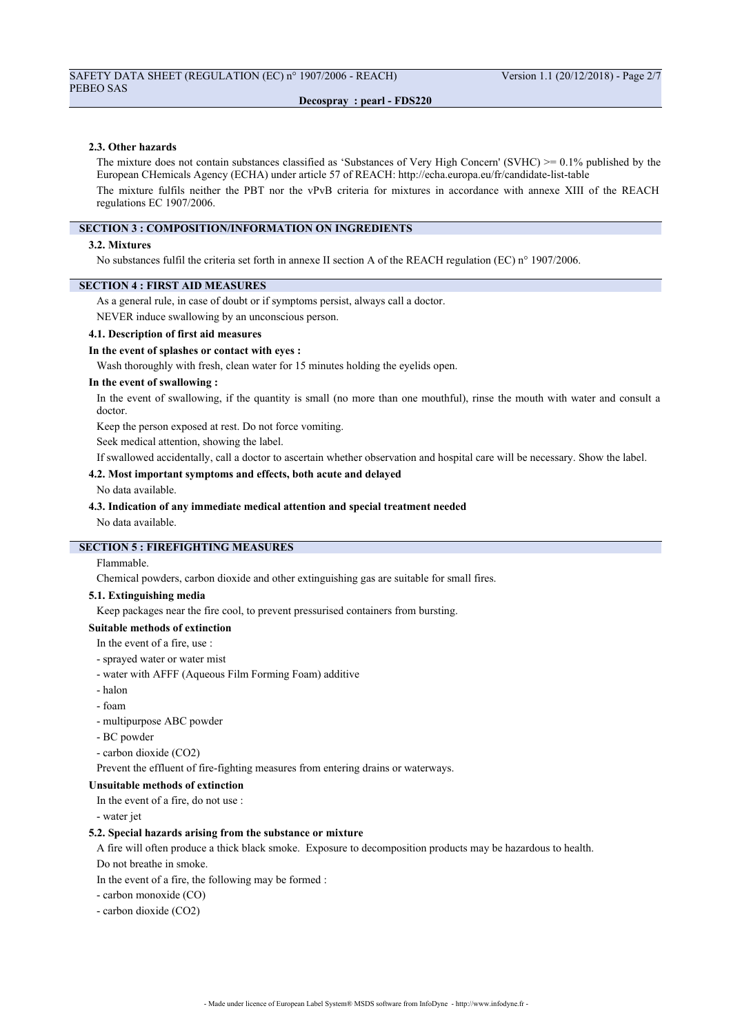#### **2.3. Other hazards**

The mixture does not contain substances classified as 'Substances of Very High Concern' (SVHC)  $\geq 0.1\%$  published by the European CHemicals Agency (ECHA) under article 57 of REACH: http://echa.europa.eu/fr/candidate-list-table The mixture fulfils neither the PBT nor the vPvB criteria for mixtures in accordance with annexe XIII of the REACH regulations EC 1907/2006.

## **SECTION 3 : COMPOSITION/INFORMATION ON INGREDIENTS**

#### **3.2. Mixtures**

No substances fulfil the criteria set forth in annexe II section A of the REACH regulation (EC) n° 1907/2006.

## **SECTION 4 : FIRST AID MEASURES**

As a general rule, in case of doubt or if symptoms persist, always call a doctor.

NEVER induce swallowing by an unconscious person.

#### **4.1. Description of first aid measures**

### **In the event of splashes or contact with eyes :**

Wash thoroughly with fresh, clean water for 15 minutes holding the eyelids open.

### **In the event of swallowing :**

In the event of swallowing, if the quantity is small (no more than one mouthful), rinse the mouth with water and consult a doctor.

Keep the person exposed at rest. Do not force vomiting.

Seek medical attention, showing the label.

If swallowed accidentally, call a doctor to ascertain whether observation and hospital care will be necessary. Show the label.

## **4.2. Most important symptoms and effects, both acute and delayed**

### No data available.

#### **4.3. Indication of any immediate medical attention and special treatment needed**

No data available.

# **SECTION 5 : FIREFIGHTING MEASURES**

# Flammable.

Chemical powders, carbon dioxide and other extinguishing gas are suitable for small fires.

### **5.1. Extinguishing media**

Keep packages near the fire cool, to prevent pressurised containers from bursting.

# **Suitable methods of extinction**

- In the event of a fire, use :
- sprayed water or water mist
- water with AFFF (Aqueous Film Forming Foam) additive
- halon
- foam
- multipurpose ABC powder
- BC powder
- carbon dioxide (CO2)

Prevent the effluent of fire-fighting measures from entering drains or waterways.

## **Unsuitable methods of extinction**

In the event of a fire, do not use :

- water jet

#### **5.2. Special hazards arising from the substance or mixture**

A fire will often produce a thick black smoke. Exposure to decomposition products may be hazardous to health.

Do not breathe in smoke.

- In the event of a fire, the following may be formed :
- carbon monoxide (CO)
- carbon dioxide (CO2)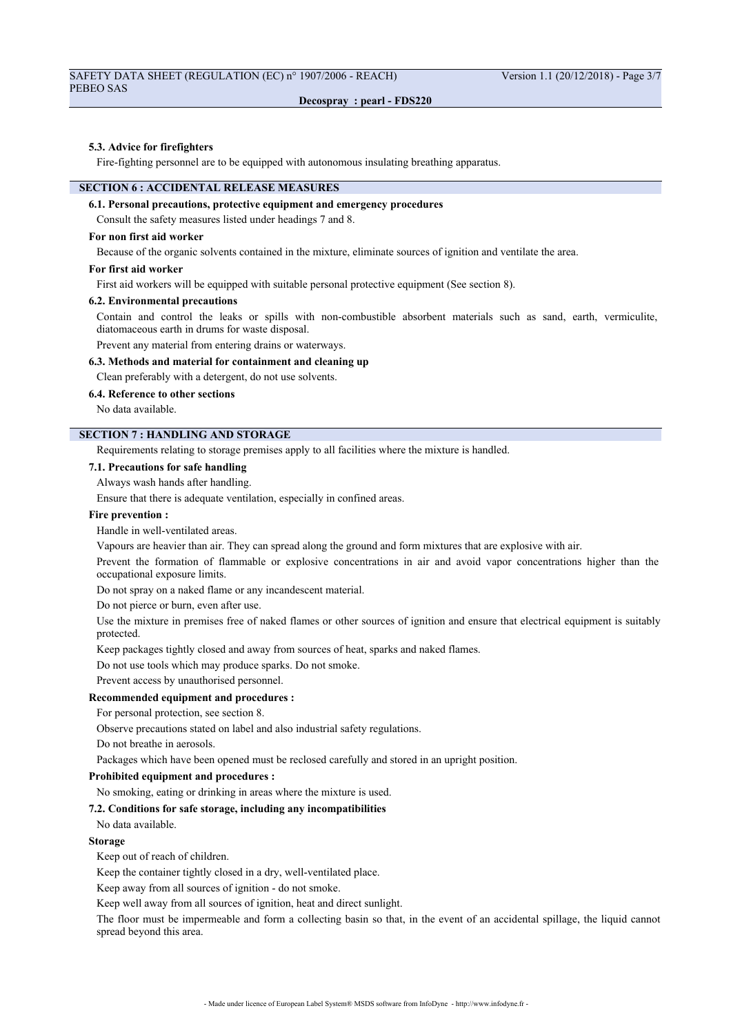### **5.3. Advice for firefighters**

Fire-fighting personnel are to be equipped with autonomous insulating breathing apparatus.

# **SECTION 6 : ACCIDENTAL RELEASE MEASURES**

# **6.1. Personal precautions, protective equipment and emergency procedures**

Consult the safety measures listed under headings 7 and 8.

## **For non first aid worker**

Because of the organic solvents contained in the mixture, eliminate sources of ignition and ventilate the area.

### **For first aid worker**

First aid workers will be equipped with suitable personal protective equipment (See section 8).

## **6.2. Environmental precautions**

Contain and control the leaks or spills with non-combustible absorbent materials such as sand, earth, vermiculite, diatomaceous earth in drums for waste disposal.

Prevent any material from entering drains or waterways.

# **6.3. Methods and material for containment and cleaning up**

Clean preferably with a detergent, do not use solvents.

# **6.4. Reference to other sections**

No data available.

# **SECTION 7 : HANDLING AND STORAGE**

Requirements relating to storage premises apply to all facilities where the mixture is handled.

# **7.1. Precautions for safe handling**

Always wash hands after handling.

Ensure that there is adequate ventilation, especially in confined areas.

### **Fire prevention :**

Handle in well-ventilated areas.

Vapours are heavier than air. They can spread along the ground and form mixtures that are explosive with air.

Prevent the formation of flammable or explosive concentrations in air and avoid vapor concentrations higher than the occupational exposure limits.

Do not spray on a naked flame or any incandescent material.

Do not pierce or burn, even after use.

Use the mixture in premises free of naked flames or other sources of ignition and ensure that electrical equipment is suitably protected.

Keep packages tightly closed and away from sources of heat, sparks and naked flames.

Do not use tools which may produce sparks. Do not smoke.

Prevent access by unauthorised personnel.

# **Recommended equipment and procedures :**

For personal protection, see section 8.

Observe precautions stated on label and also industrial safety regulations.

Do not breathe in aerosols.

Packages which have been opened must be reclosed carefully and stored in an upright position.

## **Prohibited equipment and procedures :**

No smoking, eating or drinking in areas where the mixture is used.

#### **7.2. Conditions for safe storage, including any incompatibilities**

No data available.

#### **Storage**

Keep out of reach of children.

Keep the container tightly closed in a dry, well-ventilated place.

Keep away from all sources of ignition - do not smoke.

Keep well away from all sources of ignition, heat and direct sunlight.

The floor must be impermeable and form a collecting basin so that, in the event of an accidental spillage, the liquid cannot spread beyond this area.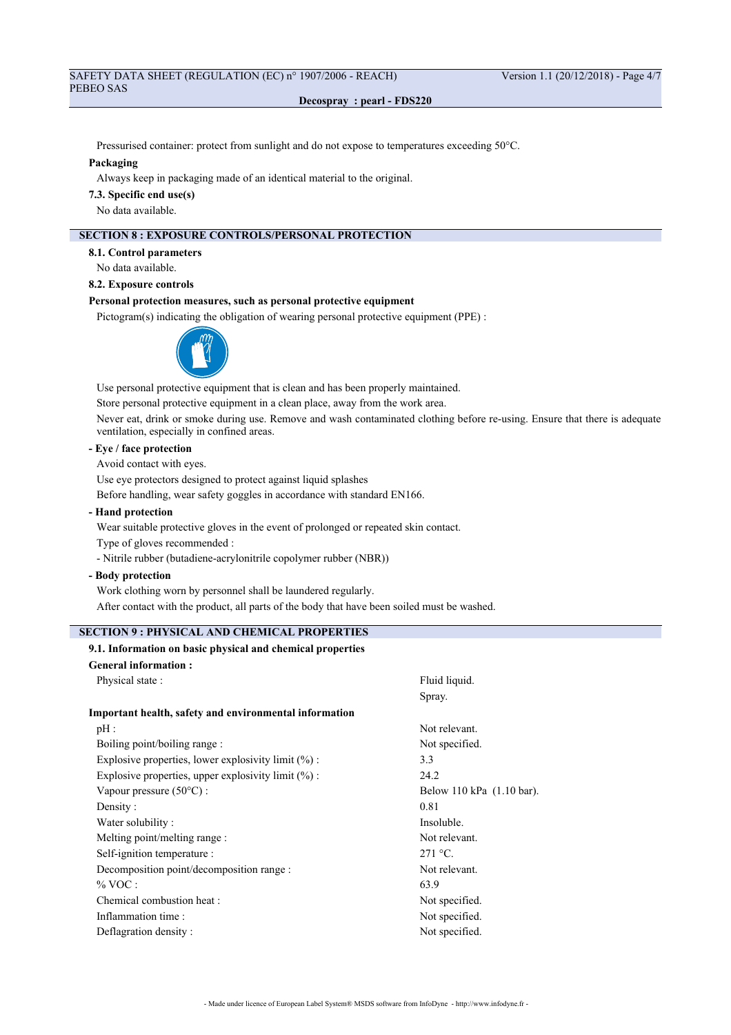Pressurised container: protect from sunlight and do not expose to temperatures exceeding 50°C.

### **Packaging**

Always keep in packaging made of an identical material to the original.

**7.3. Specific end use(s)**

No data available.

# **SECTION 8 : EXPOSURE CONTROLS/PERSONAL PROTECTION**

**8.1. Control parameters**

No data available.

**8.2. Exposure controls**

# **Personal protection measures, such as personal protective equipment**

Pictogram(s) indicating the obligation of wearing personal protective equipment (PPE) :



Use personal protective equipment that is clean and has been properly maintained.

Store personal protective equipment in a clean place, away from the work area.

Never eat, drink or smoke during use. Remove and wash contaminated clothing before re-using. Ensure that there is adequate ventilation, especially in confined areas.

# **- Eye / face protection**

Avoid contact with eyes.

Use eye protectors designed to protect against liquid splashes

Before handling, wear safety goggles in accordance with standard EN166.

**- Hand protection**

Wear suitable protective gloves in the event of prolonged or repeated skin contact.

Type of gloves recommended :

- Nitrile rubber (butadiene-acrylonitrile copolymer rubber (NBR))

**- Body protection**

Work clothing worn by personnel shall be laundered regularly.

After contact with the product, all parts of the body that have been soiled must be washed.

# **SECTION 9 : PHYSICAL AND CHEMICAL PROPERTIES**

# **9.1. Information on basic physical and chemical properties**

| <b>General information:</b>                            |                           |
|--------------------------------------------------------|---------------------------|
| Physical state:                                        | Fluid liquid.             |
|                                                        | Spray.                    |
| Important health, safety and environmental information |                           |
| pH:                                                    | Not relevant.             |
| Boiling point/boiling range :                          | Not specified.            |
| Explosive properties, lower explosivity limit $(\%)$ : | 3.3                       |
| Explosive properties, upper explosivity limit $(\%)$ : | 24.2                      |
| Vapour pressure $(50^{\circ}$ C) :                     | Below 110 kPa (1.10 bar). |
| Density:                                               | 0.81                      |
| Water solubility:                                      | Insoluble.                |
| Melting point/melting range :                          | Not relevant.             |
| Self-ignition temperature :                            | $271 °C$ .                |
| Decomposition point/decomposition range :              | Not relevant.             |
| $\%$ VOC :                                             | 63.9                      |
| Chemical combustion heat :                             | Not specified.            |
| Inflammation time:                                     | Not specified.            |
| Deflagration density:                                  | Not specified.            |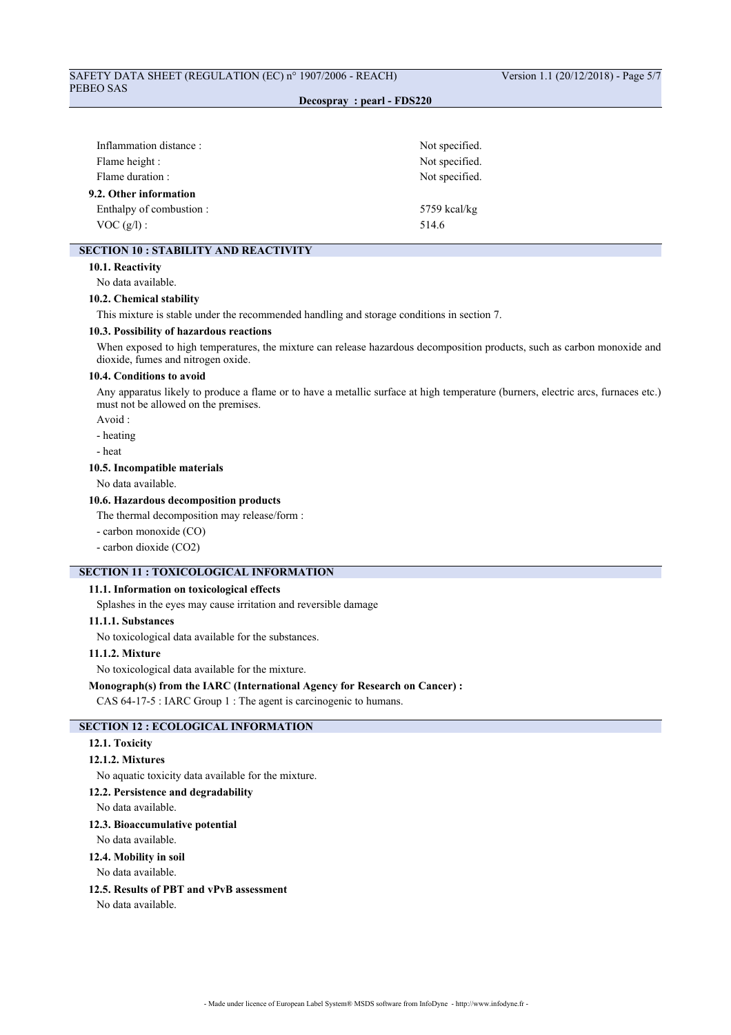| Inflammation distance:   | Not specified. |
|--------------------------|----------------|
|                          |                |
| Flame height :           | Not specified. |
| Flame duration:          | Not specified. |
| 9.2. Other information   |                |
| Enthalpy of combustion : | $5759$ kcal/kg |
| $VOC(g/l)$ :             | 514.6          |
|                          |                |

# **SECTION 10 : STABILITY AND REACTIVITY**

### **10.1. Reactivity**

No data available.

#### **10.2. Chemical stability**

This mixture is stable under the recommended handling and storage conditions in section 7.

# **10.3. Possibility of hazardous reactions**

When exposed to high temperatures, the mixture can release hazardous decomposition products, such as carbon monoxide and dioxide, fumes and nitrogen oxide.

# **10.4. Conditions to avoid**

Any apparatus likely to produce a flame or to have a metallic surface at high temperature (burners, electric arcs, furnaces etc.) must not be allowed on the premises.

# Avoid :

- heating
- heat

## **10.5. Incompatible materials**

No data available.

### **10.6. Hazardous decomposition products**

The thermal decomposition may release/form :

- carbon monoxide (CO)
- carbon dioxide (CO2)

# **SECTION 11 : TOXICOLOGICAL INFORMATION**

### **11.1. Information on toxicological effects**

Splashes in the eyes may cause irritation and reversible damage

# **11.1.1. Substances**

No toxicological data available for the substances.

# **11.1.2. Mixture**

No toxicological data available for the mixture.

**Monograph(s) from the IARC (International Agency for Research on Cancer) :**

CAS 64-17-5 : IARC Group 1 : The agent is carcinogenic to humans.

# **SECTION 12 : ECOLOGICAL INFORMATION**

## **12.1. Toxicity**

# **12.1.2. Mixtures**

No aquatic toxicity data available for the mixture.

### **12.2. Persistence and degradability**

No data available.

#### **12.3. Bioaccumulative potential**

No data available.

# **12.4. Mobility in soil**

No data available.

# **12.5. Results of PBT and vPvB assessment**

No data available.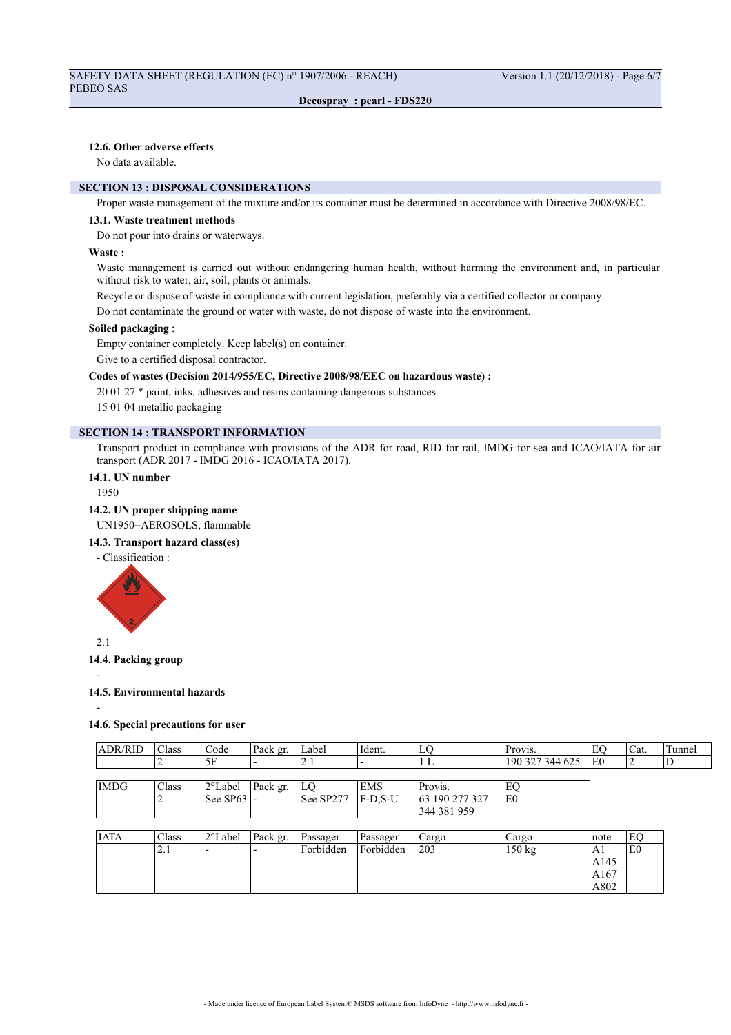# **12.6. Other adverse effects**

No data available.

# **SECTION 13 : DISPOSAL CONSIDERATIONS**

Proper waste management of the mixture and/or its container must be determined in accordance with Directive 2008/98/EC.

### **13.1. Waste treatment methods**

Do not pour into drains or waterways.

### **Waste :**

Waste management is carried out without endangering human health, without harming the environment and, in particular without risk to water, air, soil, plants or animals.

Recycle or dispose of waste in compliance with current legislation, preferably via a certified collector or company.

Do not contaminate the ground or water with waste, do not dispose of waste into the environment.

## **Soiled packaging :**

Empty container completely. Keep label(s) on container.

Give to a certified disposal contractor.

# **Codes of wastes (Decision 2014/955/EC, Directive 2008/98/EEC on hazardous waste) :**

20 01 27 \* paint, inks, adhesives and resins containing dangerous substances

15 01 04 metallic packaging

# **SECTION 14 : TRANSPORT INFORMATION**

Transport product in compliance with provisions of the ADR for road, RID for rail, IMDG for sea and ICAO/IATA for air transport (ADR 2017 - IMDG 2016 - ICAO/IATA 2017).

# **14.1. UN number**

1950

### **14.2. UN proper shipping name**

UN1950=AEROSOLS, flammable

## **14.3. Transport hazard class(es)**

- Classification :



# **14.4. Packing group**

-

# **14.5. Environmental hazards**

-

# **14.6. Special precautions for user**

| <b>ADR/RID</b> | <sup>1</sup> Class | Code              | Pack gr. | Label     | Ident.          | LO             | Provis.         |                | 'Cat. | Tunnel |
|----------------|--------------------|-------------------|----------|-----------|-----------------|----------------|-----------------|----------------|-------|--------|
|                |                    | .5F               |          | .         |                 | ∸              | 190 327 344 625 | E <sub>0</sub> |       | υ      |
|                |                    |                   |          |           |                 |                |                 |                |       |        |
| <b>IMDG</b>    | Class              | 2°Label           | Pack gr. | LO        | <b>EMS</b>      | Provis.        | EC              |                |       |        |
|                |                    | $ See$ SP63 $ $ - |          | See SP277 | <b>IF-D.S-U</b> | 63 190 277 327 | lE0             |                |       |        |
|                |                    |                   |          |           |                 | 344 381 959    |                 |                |       |        |

| <b>IATA</b> | Class      | 2°Label | Pack gr. | Passager  | Passager  | Cargo | Cargo  | Inote | EC |
|-------------|------------|---------|----------|-----------|-----------|-------|--------|-------|----|
|             | $\sim$ . 1 | --      |          | Forbidden | Forbidden | 203   | 150 kg | ΙAΙ   | E0 |
|             |            |         |          |           |           |       |        | A145  |    |
|             |            |         |          |           |           |       |        | A167  |    |
|             |            |         |          |           |           |       |        | A802  |    |